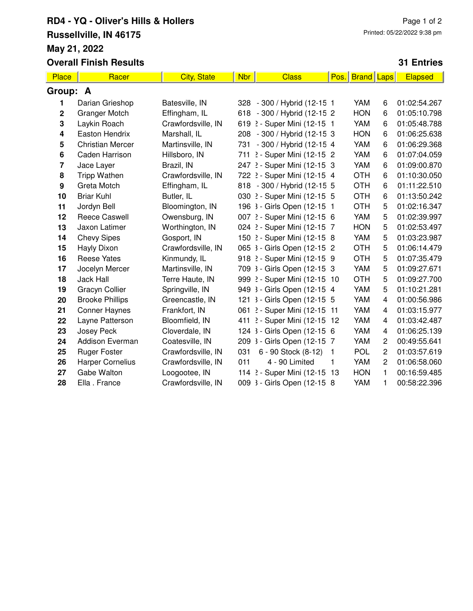## **RD4 - YQ - Oliver's Hills & Hollers Russellville, IN 46175 May 21, 2022 Overall Finish Results**

## **31 Entries**

| <b>Place</b>     | Racer                   | <b>City, State</b> | <b>Nbr</b> | <b>Class</b>                 | Pos.         | <b>Brand</b> | Laps           | <b>Elapsed</b> |
|------------------|-------------------------|--------------------|------------|------------------------------|--------------|--------------|----------------|----------------|
| Group: A         |                         |                    |            |                              |              |              |                |                |
| 1.               | Darian Grieshop         | Batesville, IN     |            | 328 - 300 / Hybrid (12-15 1  |              | YAM          | 6              | 01:02:54.267   |
| $\mathbf 2$      | <b>Granger Motch</b>    | Effingham, IL      |            | 618 - 300 / Hybrid (12-15 2  |              | <b>HON</b>   | 6              | 01:05:10.798   |
| 3                | Laykin Roach            | Crawfordsville, IN |            | 619 2 - Super Mini (12-15 1  |              | YAM          | 6              | 01:05:48.788   |
| 4                | Easton Hendrix          | Marshall, IL       |            | 208 - 300 / Hybrid (12-15 3  |              | <b>HON</b>   | 6              | 01:06:25.638   |
| 5                | <b>Christian Mercer</b> | Martinsville, IN   | 731        | - 300 / Hybrid (12-15 4      |              | YAM          | 6              | 01:06:29.368   |
| 6                | Caden Harrison          | Hillsboro, IN      | 711        | 2 - Super Mini (12-15 2      |              | YAM          | 6              | 01:07:04.059   |
| 7                | Jace Layer              | Brazil, IN         |            | 247 2 - Super Mini (12-15 3  |              | YAM          | 6              | 01:09:00.870   |
| 8                | <b>Tripp Wathen</b>     | Crawfordsville, IN |            | 722 2 - Super Mini (12-15 4  |              | <b>OTH</b>   | 6              | 01:10:30.050   |
| $\boldsymbol{9}$ | Greta Motch             | Effingham, IL      |            | 818 - 300 / Hybrid (12-15 5  |              | <b>OTH</b>   | 6              | 01:11:22.510   |
| 10               | <b>Briar Kuhl</b>       | Butler, IL         |            | 030 2 - Super Mini (12-15 5  |              | <b>OTH</b>   | 6              | 01:13:50.242   |
| 11               | Jordyn Bell             | Bloomington, IN    |            | 196 3 - Girls Open (12-15 1  |              | <b>OTH</b>   | 5              | 01:02:16.347   |
| 12               | <b>Reece Caswell</b>    | Owensburg, IN      |            | 007 2 - Super Mini (12-15 6  |              | YAM          | 5              | 01:02:39.997   |
| 13               | Jaxon Latimer           | Worthington, IN    |            | 024 2 - Super Mini (12-15 7  |              | <b>HON</b>   | 5              | 01:02:53.497   |
| 14               | <b>Chevy Sipes</b>      | Gosport, IN        |            | 150 2 - Super Mini (12-15 8  |              | YAM          | 5              | 01:03:23.987   |
| 15               | Hayly Dixon             | Crawfordsville, IN |            | 065 3 - Girls Open (12-15 2  |              | <b>OTH</b>   | 5              | 01:06:14.479   |
| 16               | <b>Reese Yates</b>      | Kinmundy, IL       |            | 918 2 - Super Mini (12-15 9  |              | <b>OTH</b>   | 5              | 01:07:35.479   |
| 17               | Jocelyn Mercer          | Martinsville, IN   |            | 709 3 - Girls Open (12-15 3  |              | YAM          | 5              | 01:09:27.671   |
| 18               | Jack Hall               | Terre Haute, IN    |            | 999 2 - Super Mini (12-15 10 |              | <b>OTH</b>   | 5              | 01:09:27.700   |
| 19               | <b>Gracyn Collier</b>   | Springville, IN    |            | 949 3 - Girls Open (12-15 4  |              | YAM          | 5              | 01:10:21.281   |
| 20               | <b>Brooke Phillips</b>  | Greencastle, IN    |            | 121 3 - Girls Open (12-15 5  |              | YAM          | 4              | 01:00:56.986   |
| 21               | <b>Conner Haynes</b>    | Frankfort, IN      |            | 061 2 - Super Mini (12-15 11 |              | YAM          | 4              | 01:03:15.977   |
| 22               | Layne Patterson         | Bloomfield, IN     |            | 411 2 - Super Mini (12-15 12 |              | YAM          | 4              | 01:03:42.487   |
| 23               | <b>Josey Peck</b>       | Cloverdale, IN     |            | 124 3 - Girls Open (12-15 6  |              | YAM          | $\overline{4}$ | 01:06:25.139   |
| 24               | <b>Addison Everman</b>  | Coatesville, IN    |            | 209 3 - Girls Open (12-15 7  |              | YAM          | $\overline{c}$ | 00:49:55.641   |
| 25               | <b>Ruger Foster</b>     | Crawfordsville, IN | 031        | 6 - 90 Stock (8-12)          | $\mathbf{1}$ | <b>POL</b>   | $\overline{c}$ | 01:03:57.619   |
| 26               | <b>Harper Cornelius</b> | Crawfordsville, IN | 011        | 4 - 90 Limited               | 1            | YAM          | $\overline{2}$ | 01:06:58.060   |
| 27               | Gabe Walton             | Loogootee, IN      |            | 114 2 - Super Mini (12-15 13 |              | <b>HON</b>   | 1              | 00:16:59.485   |
| 28               | Ella. France            | Crawfordsville, IN |            | 009 3 - Girls Open (12-15 8  |              | YAM          | 1              | 00:58:22.396   |